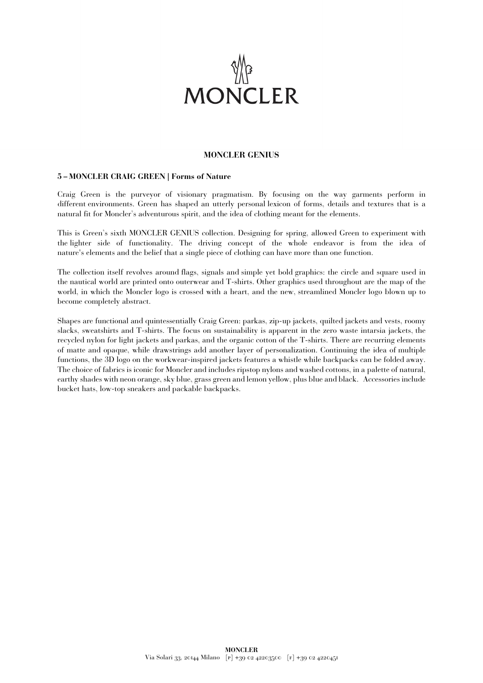

## **MONCLER GENIUS**

## **5 – MONCLER CRAIG GREEN | Forms of Nature**

Craig Green is the purveyor of visionary pragmatism. By focusing on the way garments perform in different environments. Green has shaped an utterly personal lexicon of forms, details and textures that is a natural fit for Moncler's adventurous spirit, and the idea of clothing meant for the elements.

This is Green's sixth MONCLER GENIUS collection. Designing for spring, allowed Green to experiment with the lighter side of functionality. The driving concept of the whole endeavor is from the idea of nature's elements and the belief that a single piece of clothing can have more than one function.

The collection itself revolves around flags, signals and simple yet bold graphics: the circle and square used in the nautical world are printed onto outerwear and T-shirts. Other graphics used throughout are the map of the world, in which the Moncler logo is crossed with a heart, and the new, streamlined Moncler logo blown up to become completely abstract.

Shapes are functional and quintessentially Craig Green: parkas, zip-up jackets, quilted jackets and vests, roomy slacks, sweatshirts and T-shirts. The focus on sustainability is apparent in the zero waste intarsia jackets, the recycled nylon for light jackets and parkas, and the organic cotton of the T-shirts. There are recurring elements of matte and opaque, while drawstrings add another layer of personalization. Continuing the idea of multiple functions, the 3D logo on the workwear-inspired jackets features a whistle while backpacks can be folded away. The choice of fabrics is iconic for Moncler and includes ripstop nylons and washed cottons, in a palette of natural, earthy shades with neon orange, sky blue, grass green and lemon yellow, plus blue and black. Accessories include bucket hats, low-top sneakers and packable backpacks.